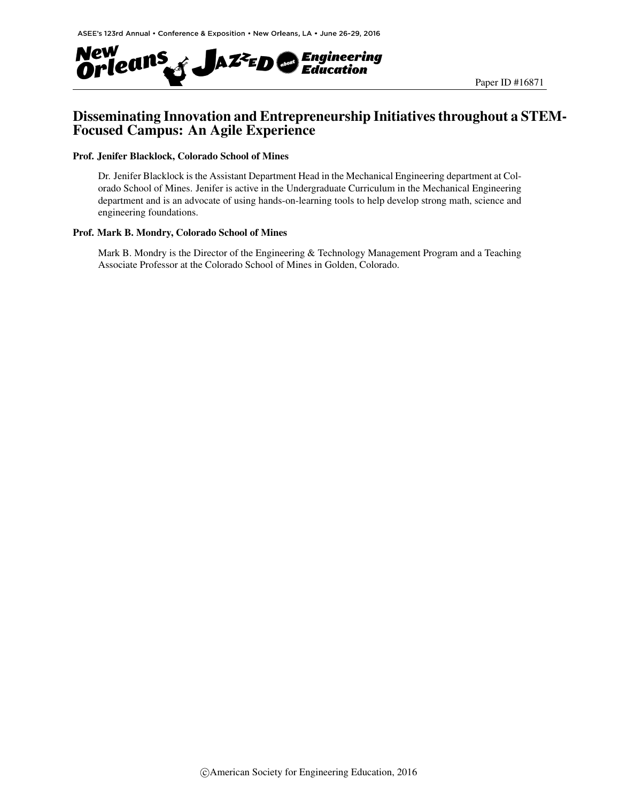

# Disseminating Innovation and Entrepreneurship Initiatives throughout a STEM-Focused Campus: An Agile Experience

#### Prof. Jenifer Blacklock, Colorado School of Mines

Dr. Jenifer Blacklock is the Assistant Department Head in the Mechanical Engineering department at Colorado School of Mines. Jenifer is active in the Undergraduate Curriculum in the Mechanical Engineering department and is an advocate of using hands-on-learning tools to help develop strong math, science and engineering foundations.

#### Prof. Mark B. Mondry, Colorado School of Mines

Mark B. Mondry is the Director of the Engineering & Technology Management Program and a Teaching Associate Professor at the Colorado School of Mines in Golden, Colorado.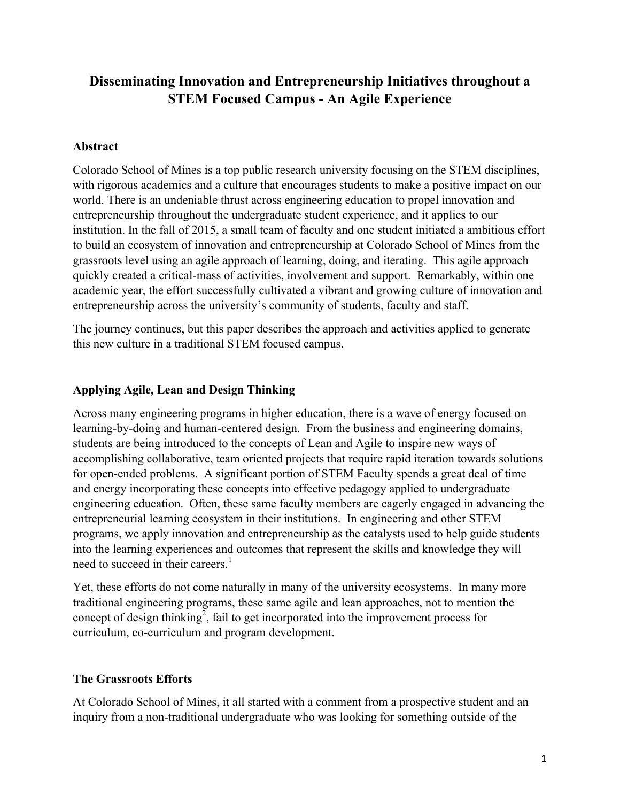# **Disseminating Innovation and Entrepreneurship Initiatives throughout a STEM Focused Campus - An Agile Experience**

# **Abstract**

Colorado School of Mines is a top public research university focusing on the STEM disciplines, with rigorous academics and a culture that encourages students to make a positive impact on our world. There is an undeniable thrust across engineering education to propel innovation and entrepreneurship throughout the undergraduate student experience, and it applies to our institution. In the fall of 2015, a small team of faculty and one student initiated a ambitious effort to build an ecosystem of innovation and entrepreneurship at Colorado School of Mines from the grassroots level using an agile approach of learning, doing, and iterating. This agile approach quickly created a critical-mass of activities, involvement and support. Remarkably, within one academic year, the effort successfully cultivated a vibrant and growing culture of innovation and entrepreneurship across the university's community of students, faculty and staff.

The journey continues, but this paper describes the approach and activities applied to generate this new culture in a traditional STEM focused campus.

# **Applying Agile, Lean and Design Thinking**

Across many engineering programs in higher education, there is a wave of energy focused on learning-by-doing and human-centered design. From the business and engineering domains, students are being introduced to the concepts of Lean and Agile to inspire new ways of accomplishing collaborative, team oriented projects that require rapid iteration towards solutions for open-ended problems. A significant portion of STEM Faculty spends a great deal of time and energy incorporating these concepts into effective pedagogy applied to undergraduate engineering education. Often, these same faculty members are eagerly engaged in advancing the entrepreneurial learning ecosystem in their institutions. In engineering and other STEM programs, we apply innovation and entrepreneurship as the catalysts used to help guide students into the learning experiences and outcomes that represent the skills and knowledge they will need to succeed in their careers. $<sup>1</sup>$ </sup>

Yet, these efforts do not come naturally in many of the university ecosystems. In many more traditional engineering programs, these same agile and lean approaches, not to mention the concept of design thinking<sup>2</sup>, fail to get incorporated into the improvement process for curriculum, co-curriculum and program development.

# **The Grassroots Efforts**

At Colorado School of Mines, it all started with a comment from a prospective student and an inquiry from a non-traditional undergraduate who was looking for something outside of the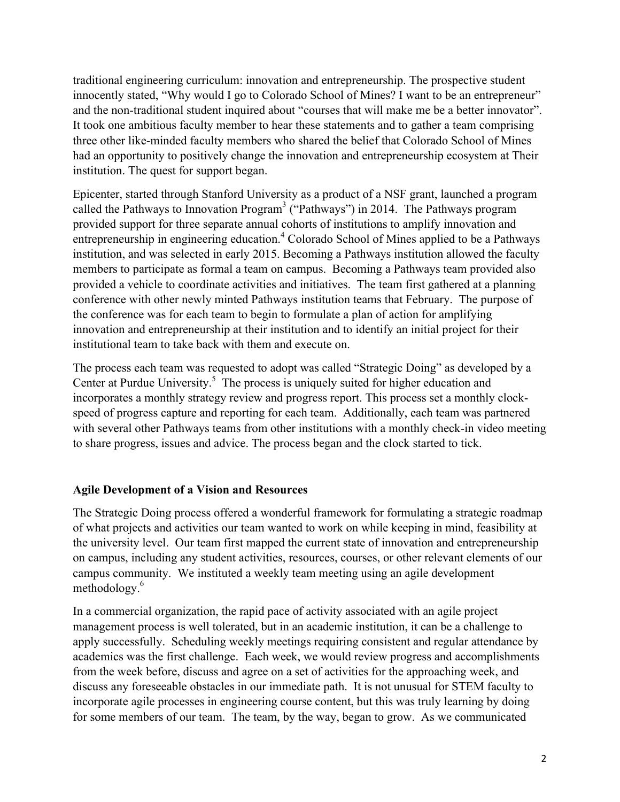traditional engineering curriculum: innovation and entrepreneurship. The prospective student innocently stated, "Why would I go to Colorado School of Mines? I want to be an entrepreneur" and the non-traditional student inquired about "courses that will make me be a better innovator". It took one ambitious faculty member to hear these statements and to gather a team comprising three other like-minded faculty members who shared the belief that Colorado School of Mines had an opportunity to positively change the innovation and entrepreneurship ecosystem at Their institution. The quest for support began.

Epicenter, started through Stanford University as a product of a NSF grant, launched a program called the Pathways to Innovation Program<sup>3</sup> ("Pathways") in 2014. The Pathways program provided support for three separate annual cohorts of institutions to amplify innovation and entrepreneurship in engineering education.<sup>4</sup> Colorado School of Mines applied to be a Pathways institution, and was selected in early 2015. Becoming a Pathways institution allowed the faculty members to participate as formal a team on campus. Becoming a Pathways team provided also provided a vehicle to coordinate activities and initiatives. The team first gathered at a planning conference with other newly minted Pathways institution teams that February. The purpose of the conference was for each team to begin to formulate a plan of action for amplifying innovation and entrepreneurship at their institution and to identify an initial project for their institutional team to take back with them and execute on.

The process each team was requested to adopt was called "Strategic Doing" as developed by a Center at Purdue University.<sup>5</sup> The process is uniquely suited for higher education and incorporates a monthly strategy review and progress report. This process set a monthly clockspeed of progress capture and reporting for each team. Additionally, each team was partnered with several other Pathways teams from other institutions with a monthly check-in video meeting to share progress, issues and advice. The process began and the clock started to tick.

# **Agile Development of a Vision and Resources**

The Strategic Doing process offered a wonderful framework for formulating a strategic roadmap of what projects and activities our team wanted to work on while keeping in mind, feasibility at the university level. Our team first mapped the current state of innovation and entrepreneurship on campus, including any student activities, resources, courses, or other relevant elements of our campus community. We instituted a weekly team meeting using an agile development methodology.6

In a commercial organization, the rapid pace of activity associated with an agile project management process is well tolerated, but in an academic institution, it can be a challenge to apply successfully. Scheduling weekly meetings requiring consistent and regular attendance by academics was the first challenge. Each week, we would review progress and accomplishments from the week before, discuss and agree on a set of activities for the approaching week, and discuss any foreseeable obstacles in our immediate path. It is not unusual for STEM faculty to incorporate agile processes in engineering course content, but this was truly learning by doing for some members of our team. The team, by the way, began to grow. As we communicated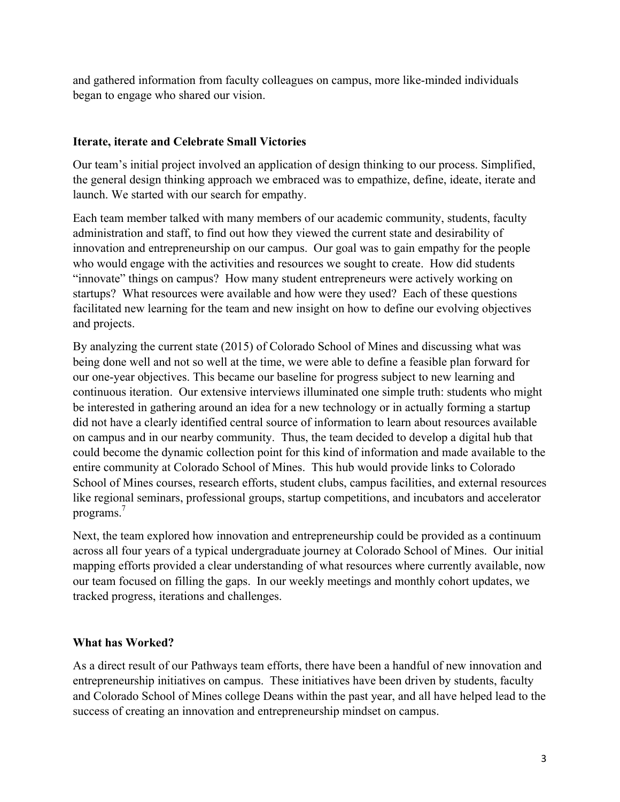and gathered information from faculty colleagues on campus, more like-minded individuals began to engage who shared our vision.

# **Iterate, iterate and Celebrate Small Victories**

Our team's initial project involved an application of design thinking to our process. Simplified, the general design thinking approach we embraced was to empathize, define, ideate, iterate and launch. We started with our search for empathy.

Each team member talked with many members of our academic community, students, faculty administration and staff, to find out how they viewed the current state and desirability of innovation and entrepreneurship on our campus. Our goal was to gain empathy for the people who would engage with the activities and resources we sought to create. How did students "innovate" things on campus? How many student entrepreneurs were actively working on startups? What resources were available and how were they used? Each of these questions facilitated new learning for the team and new insight on how to define our evolving objectives and projects.

By analyzing the current state (2015) of Colorado School of Mines and discussing what was being done well and not so well at the time, we were able to define a feasible plan forward for our one-year objectives. This became our baseline for progress subject to new learning and continuous iteration. Our extensive interviews illuminated one simple truth: students who might be interested in gathering around an idea for a new technology or in actually forming a startup did not have a clearly identified central source of information to learn about resources available on campus and in our nearby community. Thus, the team decided to develop a digital hub that could become the dynamic collection point for this kind of information and made available to the entire community at Colorado School of Mines. This hub would provide links to Colorado School of Mines courses, research efforts, student clubs, campus facilities, and external resources like regional seminars, professional groups, startup competitions, and incubators and accelerator programs.7

Next, the team explored how innovation and entrepreneurship could be provided as a continuum across all four years of a typical undergraduate journey at Colorado School of Mines. Our initial mapping efforts provided a clear understanding of what resources where currently available, now our team focused on filling the gaps. In our weekly meetings and monthly cohort updates, we tracked progress, iterations and challenges.

# **What has Worked?**

As a direct result of our Pathways team efforts, there have been a handful of new innovation and entrepreneurship initiatives on campus. These initiatives have been driven by students, faculty and Colorado School of Mines college Deans within the past year, and all have helped lead to the success of creating an innovation and entrepreneurship mindset on campus.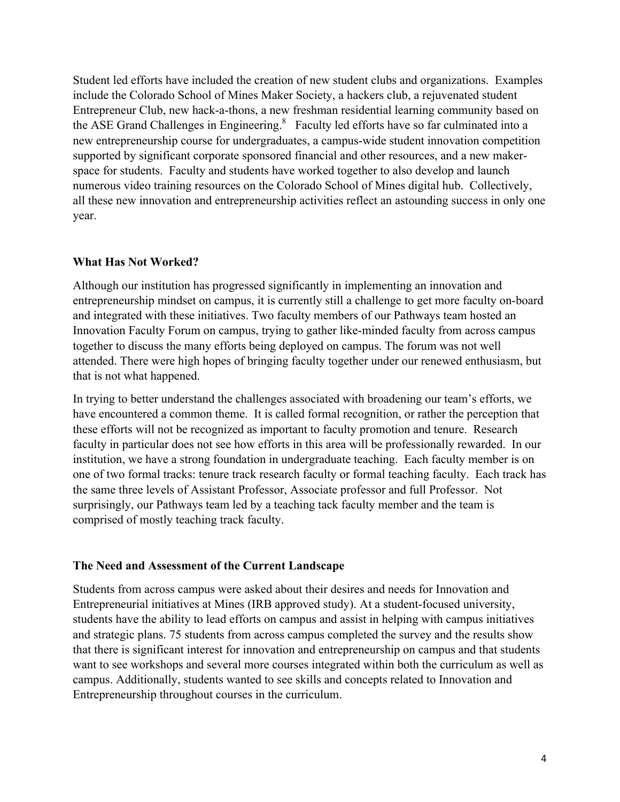Student led efforts have included the creation of new student clubs and organizations. Examples include the Colorado School of Mines Maker Society, a hackers club, a rejuvenated student Entrepreneur Club, new hack-a-thons, a new freshman residential learning community based on the ASE Grand Challenges in Engineering.<sup>8</sup> Faculty led efforts have so far culminated into a new entrepreneurship course for undergraduates, a campus-wide student innovation competition supported by significant corporate sponsored financial and other resources, and a new makerspace for students. Faculty and students have worked together to also develop and launch numerous video training resources on the Colorado School of Mines digital hub. Collectively, all these new innovation and entrepreneurship activities reflect an astounding success in only one year.

# **What Has Not Worked?**

Although our institution has progressed significantly in implementing an innovation and entrepreneurship mindset on campus, it is currently still a challenge to get more faculty on-board and integrated with these initiatives. Two faculty members of our Pathways team hosted an Innovation Faculty Forum on campus, trying to gather like-minded faculty from across campus together to discuss the many efforts being deployed on campus. The forum was not well attended. There were high hopes of bringing faculty together under our renewed enthusiasm, but that is not what happened.

In trying to better understand the challenges associated with broadening our team's efforts, we have encountered a common theme. It is called formal recognition, or rather the perception that these efforts will not be recognized as important to faculty promotion and tenure. Research faculty in particular does not see how efforts in this area will be professionally rewarded. In our institution, we have a strong foundation in undergraduate teaching. Each faculty member is on one of two formal tracks: tenure track research faculty or formal teaching faculty. Each track has the same three levels of Assistant Professor, Associate professor and full Professor. Not surprisingly, our Pathways team led by a teaching tack faculty member and the team is comprised of mostly teaching track faculty.

# **The Need and Assessment of the Current Landscape**

Students from across campus were asked about their desires and needs for Innovation and Entrepreneurial initiatives at Mines (IRB approved study). At a student-focused university, students have the ability to lead efforts on campus and assist in helping with campus initiatives and strategic plans. 75 students from across campus completed the survey and the results show that there is significant interest for innovation and entrepreneurship on campus and that students want to see workshops and several more courses integrated within both the curriculum as well as campus. Additionally, students wanted to see skills and concepts related to Innovation and Entrepreneurship throughout courses in the curriculum.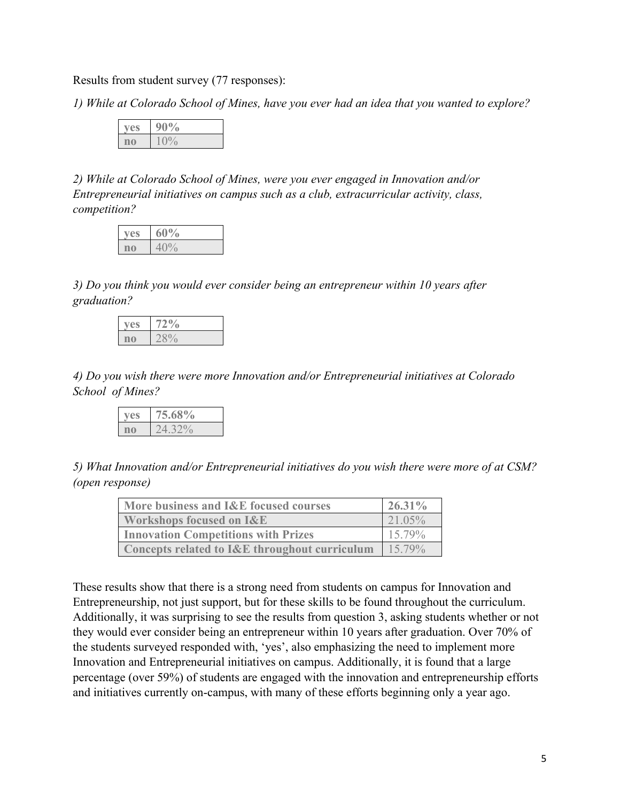Results from student survey (77 responses):

*1) While at Colorado School of Mines, have you ever had an idea that you wanted to explore?*

| '∕∩ |
|-----|
|     |

*2) While at Colorado School of Mines, were you ever engaged in Innovation and/or Entrepreneurial initiatives on campus such as a club, extracurricular activity, class, competition?*

| $\frac{9}{9}$ |
|---------------|
|               |

*3) Do you think you would ever consider being an entrepreneur within 10 years after graduation?*

*4) Do you wish there were more Innovation and/or Entrepreneurial initiatives at Colorado School of Mines?*

*5) What Innovation and/or Entrepreneurial initiatives do you wish there were more of at CSM? (open response)*

| More business and I&E focused courses         | 26.31% |
|-----------------------------------------------|--------|
| <b>Workshops focused on I&amp;E</b>           | 21.05% |
| <b>Innovation Competitions with Prizes</b>    | 15.79% |
| Concepts related to I&E throughout curriculum | 15.79% |

These results show that there is a strong need from students on campus for Innovation and Entrepreneurship, not just support, but for these skills to be found throughout the curriculum. Additionally, it was surprising to see the results from question 3, asking students whether or not they would ever consider being an entrepreneur within 10 years after graduation. Over 70% of the students surveyed responded with, 'yes', also emphasizing the need to implement more Innovation and Entrepreneurial initiatives on campus. Additionally, it is found that a large percentage (over 59%) of students are engaged with the innovation and entrepreneurship efforts and initiatives currently on-campus, with many of these efforts beginning only a year ago.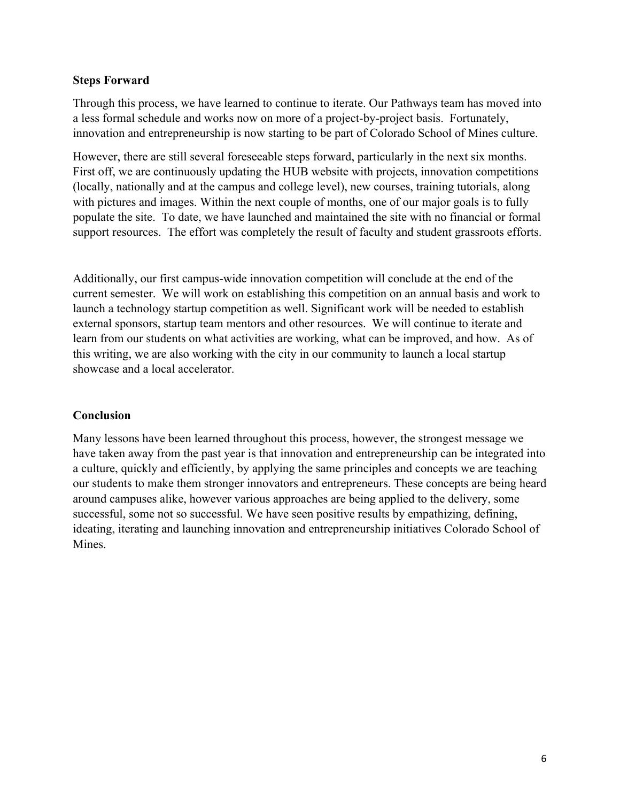# **Steps Forward**

Through this process, we have learned to continue to iterate. Our Pathways team has moved into a less formal schedule and works now on more of a project-by-project basis. Fortunately, innovation and entrepreneurship is now starting to be part of Colorado School of Mines culture.

However, there are still several foreseeable steps forward, particularly in the next six months. First off, we are continuously updating the HUB website with projects, innovation competitions (locally, nationally and at the campus and college level), new courses, training tutorials, along with pictures and images. Within the next couple of months, one of our major goals is to fully populate the site. To date, we have launched and maintained the site with no financial or formal support resources. The effort was completely the result of faculty and student grassroots efforts.

Additionally, our first campus-wide innovation competition will conclude at the end of the current semester. We will work on establishing this competition on an annual basis and work to launch a technology startup competition as well. Significant work will be needed to establish external sponsors, startup team mentors and other resources. We will continue to iterate and learn from our students on what activities are working, what can be improved, and how. As of this writing, we are also working with the city in our community to launch a local startup showcase and a local accelerator.

# **Conclusion**

Many lessons have been learned throughout this process, however, the strongest message we have taken away from the past year is that innovation and entrepreneurship can be integrated into a culture, quickly and efficiently, by applying the same principles and concepts we are teaching our students to make them stronger innovators and entrepreneurs. These concepts are being heard around campuses alike, however various approaches are being applied to the delivery, some successful, some not so successful. We have seen positive results by empathizing, defining, ideating, iterating and launching innovation and entrepreneurship initiatives Colorado School of Mines.